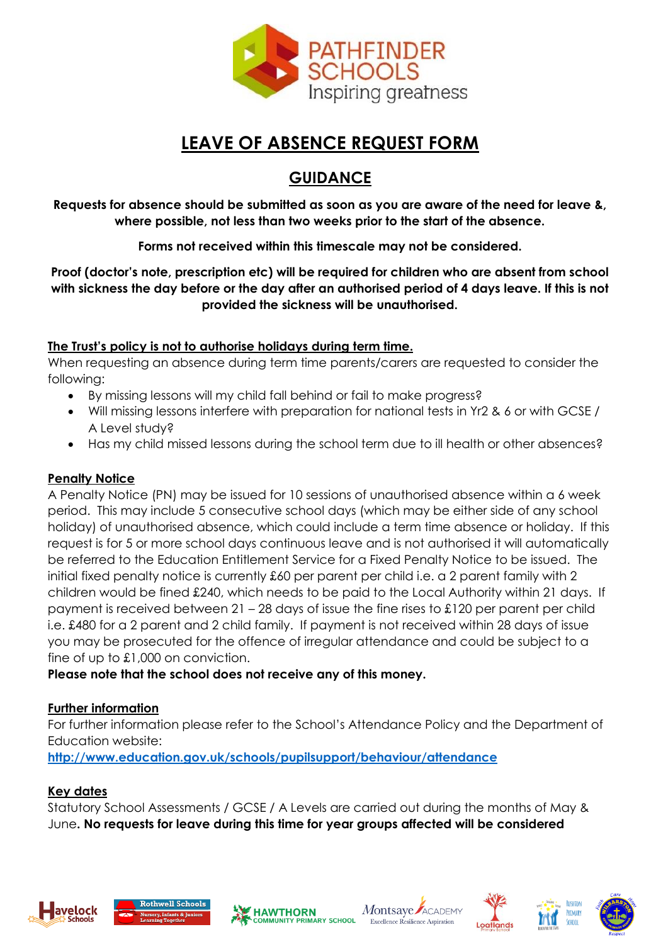

# **LEAVE OF ABSENCE REQUEST FORM**

# **GUIDANCE**

**Requests for absence should be submitted as soon as you are aware of the need for leave &, where possible, not less than two weeks prior to the start of the absence.** 

**Forms not received within this timescale may not be considered.**

**Proof (doctor's note, prescription etc) will be required for children who are absent from school with sickness the day before or the day after an authorised period of 4 days leave. If this is not provided the sickness will be unauthorised.** 

#### **The Trust's policy is not to authorise holidays during term time.**

When requesting an absence during term time parents/carers are requested to consider the following:

- By missing lessons will my child fall behind or fail to make progress?
- Will missing lessons interfere with preparation for national tests in Yr2 & 6 or with GCSE / A Level study?
- Has my child missed lessons during the school term due to ill health or other absences?

#### **Penalty Notice**

A Penalty Notice (PN) may be issued for 10 sessions of unauthorised absence within a 6 week period. This may include 5 consecutive school days (which may be either side of any school holiday) of unauthorised absence, which could include a term time absence or holiday. If this request is for 5 or more school days continuous leave and is not authorised it will automatically be referred to the Education Entitlement Service for a Fixed Penalty Notice to be issued. The initial fixed penalty notice is currently £60 per parent per child i.e. a 2 parent family with 2 children would be fined £240, which needs to be paid to the Local Authority within 21 days. If payment is received between 21 – 28 days of issue the fine rises to £120 per parent per child i.e. £480 for a 2 parent and 2 child family. If payment is not received within 28 days of issue you may be prosecuted for the offence of irregular attendance and could be subject to a fine of up to £1,000 on conviction.

#### **Please note that the school does not receive any of this money.**

#### **Further information**

For further information please refer to the School's Attendance Policy and the Department of Education website:

**<http://www.education.gov.uk/schools/pupilsupport/behaviour/attendance>**

#### **Key dates**

Statutory School Assessments / GCSE / A Levels are carried out during the months of May & June**. No requests for leave during this time for year groups affected will be considered**











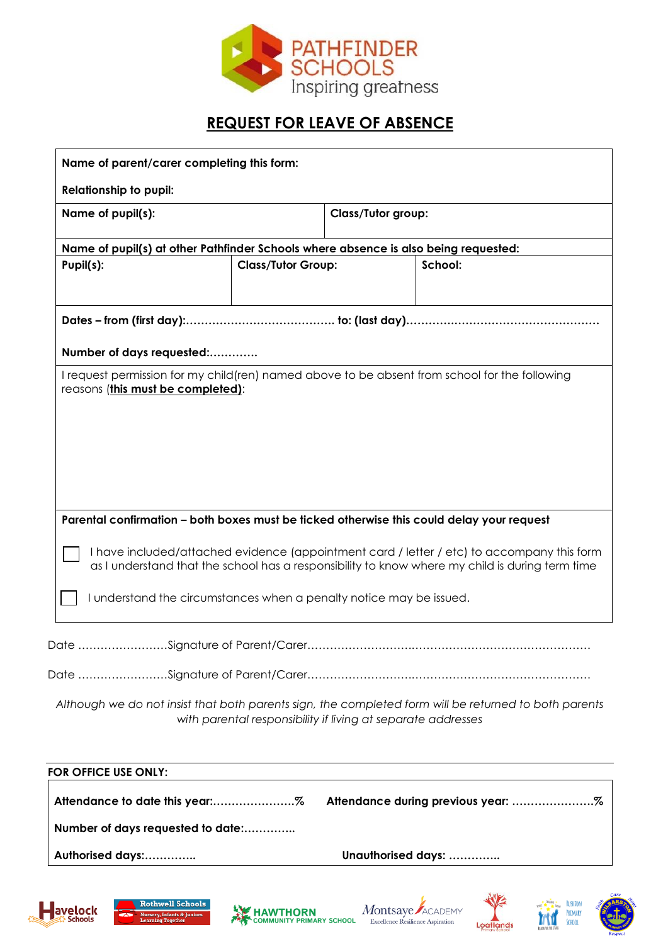

### **REQUEST FOR LEAVE OF ABSENCE**

| Name of parent/carer completing this form:                                                                                                                                                                                                                                                                                                                        |                                                              |                           |                                                                                                       |  |
|-------------------------------------------------------------------------------------------------------------------------------------------------------------------------------------------------------------------------------------------------------------------------------------------------------------------------------------------------------------------|--------------------------------------------------------------|---------------------------|-------------------------------------------------------------------------------------------------------|--|
| <b>Relationship to pupil:</b>                                                                                                                                                                                                                                                                                                                                     |                                                              |                           |                                                                                                       |  |
| Name of pupil(s):                                                                                                                                                                                                                                                                                                                                                 |                                                              | <b>Class/Tutor group:</b> |                                                                                                       |  |
| Name of pupil(s) at other Pathfinder Schools where absence is also being requested:                                                                                                                                                                                                                                                                               |                                                              |                           |                                                                                                       |  |
| Pupil(s):                                                                                                                                                                                                                                                                                                                                                         | <b>Class/Tutor Group:</b>                                    |                           | School:                                                                                               |  |
|                                                                                                                                                                                                                                                                                                                                                                   |                                                              |                           |                                                                                                       |  |
| Number of days requested:                                                                                                                                                                                                                                                                                                                                         |                                                              |                           |                                                                                                       |  |
| I request permission for my child (ren) named above to be absent from school for the following<br>reasons (this must be completed):                                                                                                                                                                                                                               |                                                              |                           |                                                                                                       |  |
| Parental confirmation - both boxes must be ticked otherwise this could delay your request<br>I have included/attached evidence (appointment card / letter / etc) to accompany this form<br>as I understand that the school has a responsibility to know where my child is during term time<br>I understand the circumstances when a penalty notice may be issued. |                                                              |                           |                                                                                                       |  |
|                                                                                                                                                                                                                                                                                                                                                                   |                                                              |                           |                                                                                                       |  |
|                                                                                                                                                                                                                                                                                                                                                                   | with parental responsibility if living at separate addresses |                           | Although we do not insist that both parents sign, the completed form will be returned to both parents |  |
| FOR OFFICE USE ONLY:                                                                                                                                                                                                                                                                                                                                              |                                                              |                           |                                                                                                       |  |
|                                                                                                                                                                                                                                                                                                                                                                   |                                                              |                           | Attendance during previous year: %                                                                    |  |

**Number of days requested to date:…………..**

**Authorised days:………….. Unauthorised days: …………..**